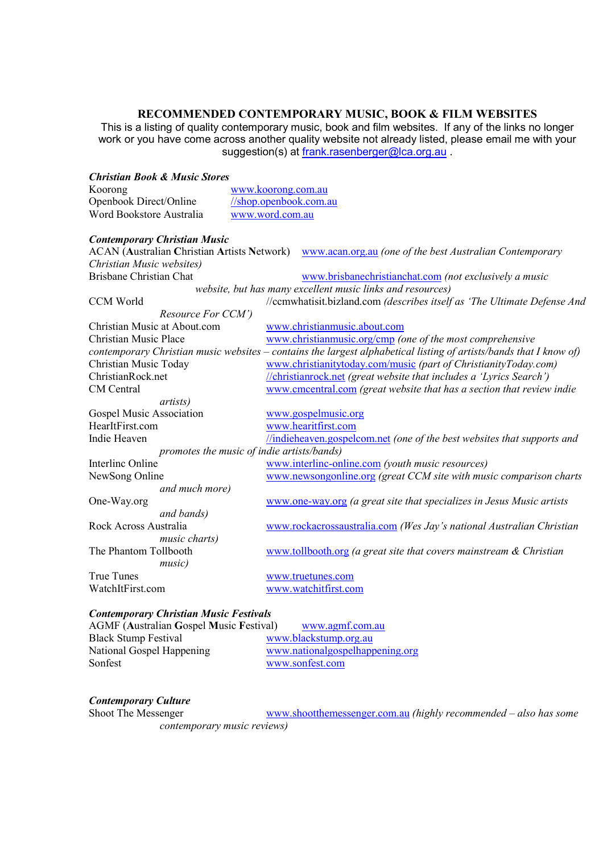# **RECOMMENDED CONTEMPORARY MUSIC, BOOK & FILM WEBSITES**

This is a listing of quality contemporary music, book and film websites. If any of the links no longer work or you have come across another quality website not already listed, please email me with your suggestion(s) at frank.rasenberger@lca.org.au

| <b>Christian Book &amp; Music Stores</b>           |                                                                                                                    |
|----------------------------------------------------|--------------------------------------------------------------------------------------------------------------------|
| Koorong                                            | www.koorong.com.au                                                                                                 |
| Openbook Direct/Online                             | //shop.openbook.com.au                                                                                             |
| Word Bookstore Australia                           | www.word.com.au                                                                                                    |
| <b>Contemporary Christian Music</b>                |                                                                                                                    |
| <b>ACAN (Australian Christian Artists Network)</b> | www.acan.org.au (one of the best Australian Contemporary                                                           |
| Christian Music websites)                          |                                                                                                                    |
| <b>Brisbane Christian Chat</b>                     | www.brisbanechristianchat.com (not exclusively a music                                                             |
|                                                    | website, but has many excellent music links and resources)                                                         |
| <b>CCM World</b>                                   | //ccmwhatisit.bizland.com (describes itself as 'The Ultimate Defense And                                           |
| Resource For CCM')                                 |                                                                                                                    |
| Christian Music at About.com                       | www.christianmusic.about.com                                                                                       |
| <b>Christian Music Place</b>                       | www.christianmusic.org/cmp (one of the most comprehensive                                                          |
|                                                    | contemporary Christian music websites – contains the largest alphabetical listing of artists/bands that I know of) |
| Christian Music Today                              | www.christianitytoday.com/music (part of ChristianityToday.com)                                                    |
| ChristianRock.net                                  | <i>(christianrock.net (great website that includes a 'Lyrics Search')</i>                                          |
| <b>CM</b> Central                                  | www.cmcentral.com (great website that has a section that review indie                                              |
| <i>artists</i> )                                   |                                                                                                                    |
| Gospel Music Association                           | www.gospelmusic.org                                                                                                |
| HearItFirst.com                                    | www.hearitfirst.com                                                                                                |
| Indie Heaven                                       | <i>lindieheaven.gospelcom.net (one of the best websites that supports and</i>                                      |
| promotes the music of indie artists/bands)         |                                                                                                                    |
| Interlinc Online                                   | www.interlinc-online.com (youth music resources)                                                                   |
| NewSong Online                                     | www.newsongonline.org (great CCM site with music comparison charts                                                 |
| and much more)                                     |                                                                                                                    |
| One-Way.org                                        | www.one-way.org (a great site that specializes in Jesus Music artists                                              |
| and bands)                                         |                                                                                                                    |
| Rock Across Australia                              | www.rockacrossaustralia.com (Wes Jay's national Australian Christian                                               |
| music charts)                                      |                                                                                                                    |
| The Phantom Tollbooth                              | $www.tollbooth.org$ (a great site that covers mainstream $\&$ Christian                                            |
| music)                                             |                                                                                                                    |
| <b>True Tunes</b>                                  | www.truetunes.com                                                                                                  |
| WatchItFirst.com                                   | www.watchitfirst.com                                                                                               |
|                                                    |                                                                                                                    |

## **Contemporary Christian Music Festivals**

| <b>AGMF (Australian Gospel Music Festival)</b> | www.agmf.com.au                 |
|------------------------------------------------|---------------------------------|
| <b>Black Stump Festival</b>                    | www.blackstump.org.au           |
| National Gospel Happening                      | www.nationalgospelhappening.org |
| Sonfest                                        | www.sonfest.com                 |

# **Contemporary Culture**

www.shootthemessenger.com.au (highly recommended - also has some contemporary music reviews)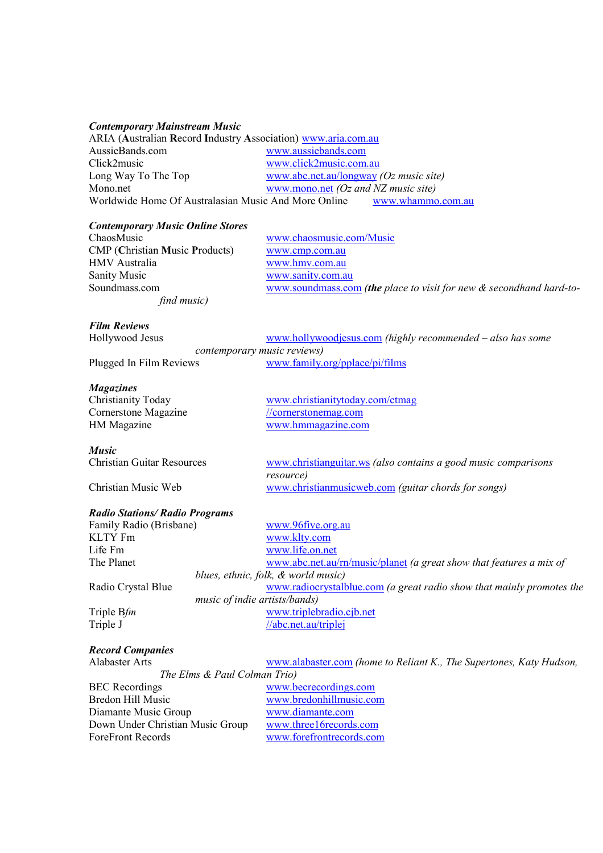#### **Contemporary Mainstream Music**

| ARIA (Australian Record Industry Association) www.aria.com.au          |                                                        |  |
|------------------------------------------------------------------------|--------------------------------------------------------|--|
| AussieBands.com                                                        | www.aussiebands.com                                    |  |
| Click2music                                                            | www.click2music.com.au                                 |  |
| Long Way To The Top                                                    | www.abc.net.au/longway $(Oz \text{ music site})$       |  |
| Mono.net                                                               | www.mono.net $(Oz \text{ and } NZ \text{ music site})$ |  |
| Worldwide Home Of Australasian Music And More Online www.whammo.com.au |                                                        |  |

#### **Contemporary Music Online Stores**

| ChaosMusic                            |
|---------------------------------------|
| <b>CMP</b> (Christian Music Products) |
| HMV Australia                         |
| <b>Sanity Music</b>                   |
| Soundmass.com                         |
| find music)                           |

www.chaosmusic.com/Music  $www.cmp.com.au$ www.hmv.com.au www.sanity.com.au www.soundmass.com (the place to visit for new & secondhand hard-to-

# **Film Reviews**

| Hollywood Jesus         | www.hollywoodjesus.com (highly recommended $-$ also has some |
|-------------------------|--------------------------------------------------------------|
|                         | <i>contemporary music reviews)</i>                           |
| Plugged In Film Reviews | www.family.org/pplace/pi/films                               |

#### **Magazines**

**Music**

| Christianity Today   |
|----------------------|
| Cornerstone Magazine |
| HM Magazine          |

www.christianitytoday.com/ctmag //cornerstonemag.com www.hmmagazine.com

Christian Guitar Resources www.christianguitar.ws (also contains a good music comparisons resource) Christian Music Web www.christianmusicweb.com (guitar chords for songs)

# **Radio Stations/ Radio Programs**

Family Radio (Brisbane) www.96five.org.au KLTY Fm www.klty.com Life Fm www.life.on.net The Planet www.abc.net.au/rn/music/planet (a great show that features a mix of blues, ethnic, folk, & world music) Radio Crystal Blue www.radiocrystalblue.com (a great radio show that mainly promotes the music of indie artists/bands) Triple Bfm www.triplebradio.cjb.net Triple J //abc.net.au/triplej

### **Record Companies**

Alabaster Arts www.alabaster.com (home to Reliant K., The Supertones, Katy Hudson,

The Elms & Paul Colman Trio) BEC Recordings www.becrecordings.com Bredon Hill Music www.bredonhillmusic.com Diamante Music Group www.diamante.com Down Under Christian Music Group www.three16records.com ForeFront Records www.forefrontrecords.com